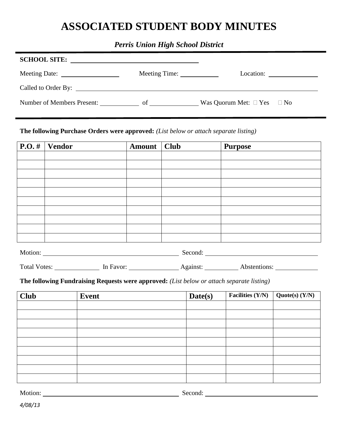## **ASSOCIATED STUDENT BODY MINUTES**

## *Perris Union High School District*

| <b>SCHOOL SITE:</b>              |               |                                      |
|----------------------------------|---------------|--------------------------------------|
|                                  | Meeting Time: | Location: $\qquad \qquad \qquad$     |
|                                  |               |                                      |
| Number of Members Present: of of |               | Was Quorum Met: $\Box$ Yes $\Box$ No |

## **The following Purchase Orders were approved:** *(List below or attach separate listing)*

| $\boxed{\textbf{P.O.}\#}$ Vendor | Amount   Club | <b>Purpose</b> |
|----------------------------------|---------------|----------------|
|                                  |               |                |
|                                  |               |                |
|                                  |               |                |
|                                  |               |                |
|                                  |               |                |
|                                  |               |                |
|                                  |               |                |
|                                  |               |                |
|                                  |               |                |
|                                  |               |                |

| Motion.<br>. | cond.<br><br>. |  |
|--------------|----------------|--|
|              |                |  |

Total Votes: In Favor: In Favor: Against: Against: Abstentions: 1990 Abstentions:

**The following Fundraising Requests were approved:** *(List below or attach separate listing)*

| <b>Club</b> | <b>Event</b> | Date(s) | Facilities $(Y/N)$ | Quote(s) (Y/N) |
|-------------|--------------|---------|--------------------|----------------|
|             |              |         |                    |                |
|             |              |         |                    |                |
|             |              |         |                    |                |
|             |              |         |                    |                |
|             |              |         |                    |                |
|             |              |         |                    |                |
|             |              |         |                    |                |
|             |              |         |                    |                |
|             |              |         |                    |                |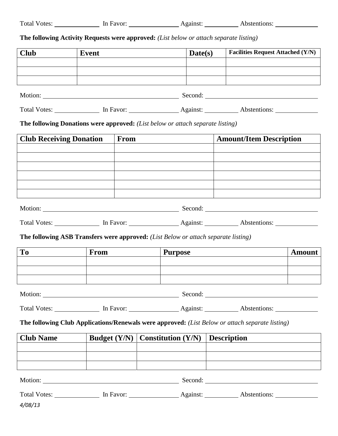|  | <b>Total Votes:</b> | In Favor: | Against: | Abstentions: |
|--|---------------------|-----------|----------|--------------|
|--|---------------------|-----------|----------|--------------|

**The following Activity Requests were approved:** *(List below or attach separate listing)*

| <b>Club</b>                    | <b>Event</b>                                                                                               |                      | Date(s) |  | <b>Facilities Request Attached (Y/N)</b> |               |  |  |  |
|--------------------------------|------------------------------------------------------------------------------------------------------------|----------------------|---------|--|------------------------------------------|---------------|--|--|--|
|                                |                                                                                                            |                      |         |  |                                          |               |  |  |  |
|                                |                                                                                                            |                      |         |  |                                          |               |  |  |  |
|                                |                                                                                                            |                      |         |  |                                          |               |  |  |  |
|                                |                                                                                                            |                      |         |  |                                          |               |  |  |  |
|                                | <b>The following Donations were approved:</b> (List below or attach separate listing)                      |                      |         |  |                                          |               |  |  |  |
| <b>Club Receiving Donation</b> | <b>From</b>                                                                                                |                      |         |  | <b>Amount/Item Description</b>           |               |  |  |  |
|                                |                                                                                                            |                      |         |  |                                          |               |  |  |  |
|                                |                                                                                                            |                      |         |  |                                          |               |  |  |  |
|                                |                                                                                                            |                      |         |  |                                          |               |  |  |  |
|                                |                                                                                                            |                      |         |  |                                          |               |  |  |  |
|                                |                                                                                                            |                      |         |  |                                          |               |  |  |  |
|                                | Total Votes: ______________ In Favor: _________________ Against: ___________ Abstentions: __________       |                      |         |  |                                          |               |  |  |  |
|                                | The following ASB Transfers were approved: (List Below or attach separate listing)                         |                      |         |  |                                          |               |  |  |  |
| <b>To</b>                      | <b>From</b>                                                                                                | <b>Purpose</b>       |         |  |                                          | <b>Amount</b> |  |  |  |
|                                |                                                                                                            |                      |         |  |                                          |               |  |  |  |
|                                |                                                                                                            |                      |         |  |                                          |               |  |  |  |
|                                |                                                                                                            |                      |         |  |                                          |               |  |  |  |
|                                | Total Votes: ______________ In Favor: __________________ Against: ____________ Abstentions: ______________ |                      |         |  |                                          |               |  |  |  |
|                                | The following Club Applications/Renewals were approved: (List Below or attach separate listing)            |                      |         |  |                                          |               |  |  |  |
| <b>Club Name</b>               | Budget $(Y/N)$                                                                                             | Constitution $(Y/N)$ |         |  | <b>Description</b>                       |               |  |  |  |
|                                |                                                                                                            |                      |         |  |                                          |               |  |  |  |
|                                |                                                                                                            |                      |         |  |                                          |               |  |  |  |
|                                |                                                                                                            |                      |         |  |                                          |               |  |  |  |
|                                | Total Votes: In Favor: International Against: Abstentions: Abstentions:                                    |                      |         |  |                                          |               |  |  |  |
| 4/08/13                        |                                                                                                            |                      |         |  |                                          |               |  |  |  |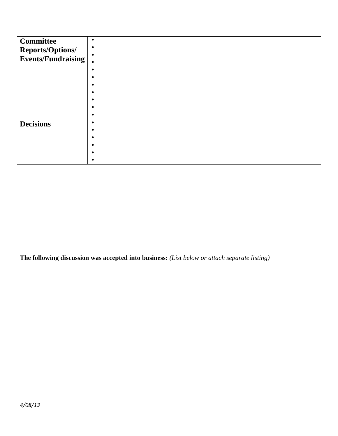| <b>Committee</b><br>Reports/Options/<br>Events/Fundraising | $\bullet$ |
|------------------------------------------------------------|-----------|
| <b>Decisions</b>                                           | $\bullet$ |

**The following discussion was accepted into business:** *(List below or attach separate listing)*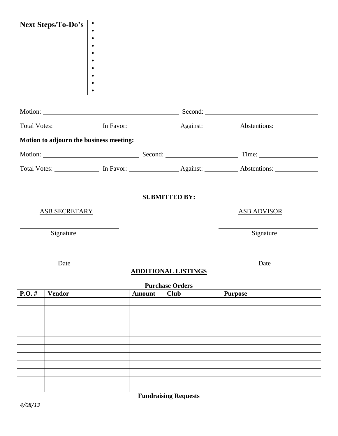| <b>Next Steps/To-Do's</b> |                      |                                         |               |                             |                                                                                                      |  |
|---------------------------|----------------------|-----------------------------------------|---------------|-----------------------------|------------------------------------------------------------------------------------------------------|--|
|                           |                      |                                         |               |                             |                                                                                                      |  |
|                           |                      |                                         |               |                             |                                                                                                      |  |
|                           |                      |                                         |               |                             |                                                                                                      |  |
|                           |                      |                                         |               |                             |                                                                                                      |  |
|                           |                      |                                         |               |                             |                                                                                                      |  |
|                           |                      |                                         |               |                             |                                                                                                      |  |
|                           |                      |                                         |               |                             |                                                                                                      |  |
|                           |                      |                                         |               |                             |                                                                                                      |  |
|                           |                      |                                         |               |                             |                                                                                                      |  |
|                           |                      | Motion to adjourn the business meeting: |               |                             |                                                                                                      |  |
|                           |                      |                                         |               |                             |                                                                                                      |  |
|                           |                      |                                         |               |                             | Total Votes: ______________ In Favor: ________________ Against: __________ Abstentions: ____________ |  |
|                           |                      |                                         |               |                             |                                                                                                      |  |
|                           |                      |                                         |               | <b>SUBMITTED BY:</b>        |                                                                                                      |  |
|                           | <b>ASB SECRETARY</b> |                                         |               |                             | <b>ASB ADVISOR</b>                                                                                   |  |
|                           |                      |                                         |               |                             |                                                                                                      |  |
|                           | Signature            |                                         |               |                             | Signature                                                                                            |  |
|                           |                      |                                         |               |                             |                                                                                                      |  |
|                           |                      |                                         |               |                             |                                                                                                      |  |
|                           | Date                 |                                         |               |                             | Date                                                                                                 |  |
|                           |                      |                                         |               | <b>ADDITIONAL LISTINGS</b>  |                                                                                                      |  |
|                           |                      |                                         |               | <b>Purchase Orders</b>      |                                                                                                      |  |
| $P.O.$ #                  | <b>Vendor</b>        |                                         | <b>Amount</b> | <b>Club</b>                 | <b>Purpose</b>                                                                                       |  |
|                           |                      |                                         |               |                             |                                                                                                      |  |
|                           |                      |                                         |               |                             |                                                                                                      |  |
|                           |                      |                                         |               |                             |                                                                                                      |  |
|                           |                      |                                         |               |                             |                                                                                                      |  |
|                           |                      |                                         |               |                             |                                                                                                      |  |
|                           |                      |                                         |               |                             |                                                                                                      |  |
|                           |                      |                                         |               |                             |                                                                                                      |  |
|                           |                      |                                         |               |                             |                                                                                                      |  |
|                           |                      |                                         |               | <b>Fundraising Requests</b> |                                                                                                      |  |